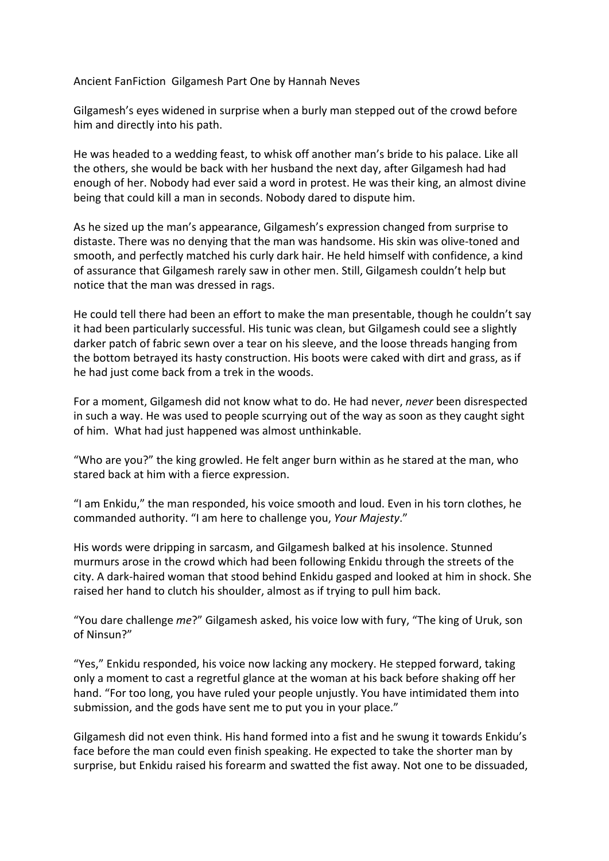Ancient FanFiction Gilgamesh Part One by Hannah Neves

Gilgamesh's eyes widened in surprise when a burly man stepped out of the crowd before him and directly into his path.

He was headed to a wedding feast, to whisk off another man's bride to his palace. Like all the others, she would be back with her husband the next day, after Gilgamesh had had enough of her. Nobody had ever said a word in protest. He was their king, an almost divine being that could kill a man in seconds. Nobody dared to dispute him.

As he sized up the man's appearance, Gilgamesh's expression changed from surprise to distaste. There was no denying that the man was handsome. His skin was olive-toned and smooth, and perfectly matched his curly dark hair. He held himself with confidence, a kind of assurance that Gilgamesh rarely saw in other men. Still, Gilgamesh couldn't help but notice that the man was dressed in rags.

He could tell there had been an effort to make the man presentable, though he couldn't say it had been particularly successful. His tunic was clean, but Gilgamesh could see a slightly darker patch of fabric sewn over a tear on his sleeve, and the loose threads hanging from the bottom betrayed its hasty construction. His boots were caked with dirt and grass, as if he had just come back from a trek in the woods.

For a moment, Gilgamesh did not know what to do. He had never, *never* been disrespected in such a way. He was used to people scurrying out of the way as soon as they caught sight of him. What had just happened was almost unthinkable.

"Who are you?" the king growled. He felt anger burn within as he stared at the man, who stared back at him with a fierce expression.

"I am Enkidu," the man responded, his voice smooth and loud. Even in his torn clothes, he commanded authority. "I am here to challenge you, *Your Majesty*."

His words were dripping in sarcasm, and Gilgamesh balked at his insolence. Stunned murmurs arose in the crowd which had been following Enkidu through the streets of the city. A dark-haired woman that stood behind Enkidu gasped and looked at him in shock. She raised her hand to clutch his shoulder, almost as if trying to pull him back.

"You dare challenge *me*?" Gilgamesh asked, his voice low with fury, "The king of Uruk, son of Ninsun?"

"Yes," Enkidu responded, his voice now lacking any mockery. He stepped forward, taking only a moment to cast a regretful glance at the woman at his back before shaking off her hand. "For too long, you have ruled your people unjustly. You have intimidated them into submission, and the gods have sent me to put you in your place."

Gilgamesh did not even think. His hand formed into a fist and he swung it towards Enkidu's face before the man could even finish speaking. He expected to take the shorter man by surprise, but Enkidu raised his forearm and swatted the fist away. Not one to be dissuaded,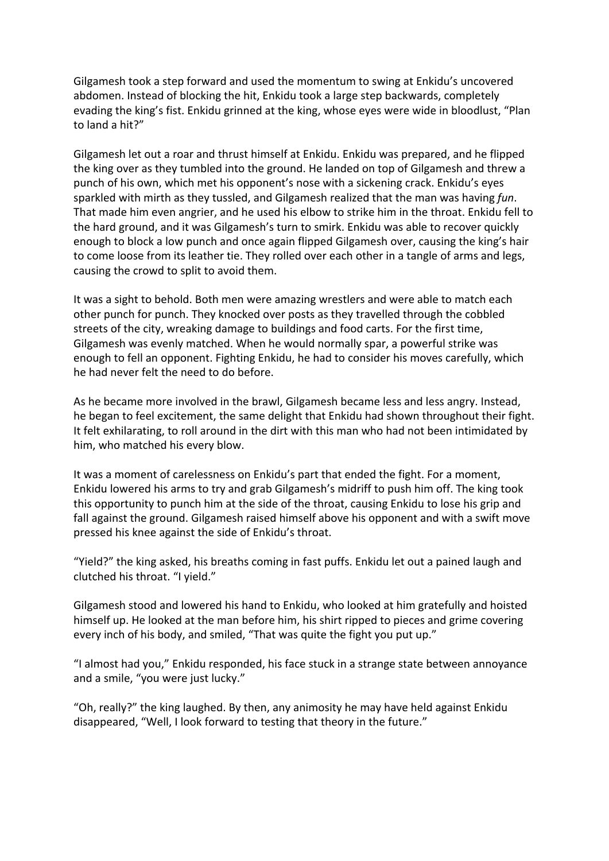Gilgamesh took a step forward and used the momentum to swing at Enkidu's uncovered abdomen. Instead of blocking the hit, Enkidu took a large step backwards, completely evading the king's fist. Enkidu grinned at the king, whose eyes were wide in bloodlust, "Plan to land a hit?"

Gilgamesh let out a roar and thrust himself at Enkidu. Enkidu was prepared, and he flipped the king over as they tumbled into the ground. He landed on top of Gilgamesh and threw a punch of his own, which met his opponent's nose with a sickening crack. Enkidu's eyes sparkled with mirth as they tussled, and Gilgamesh realized that the man was having *fun*. That made him even angrier, and he used his elbow to strike him in the throat. Enkidu fell to the hard ground, and it was Gilgamesh's turn to smirk. Enkidu was able to recover quickly enough to block a low punch and once again flipped Gilgamesh over, causing the king's hair to come loose from its leather tie. They rolled over each other in a tangle of arms and legs, causing the crowd to split to avoid them.

It was a sight to behold. Both men were amazing wrestlers and were able to match each other punch for punch. They knocked over posts as they travelled through the cobbled streets of the city, wreaking damage to buildings and food carts. For the first time, Gilgamesh was evenly matched. When he would normally spar, a powerful strike was enough to fell an opponent. Fighting Enkidu, he had to consider his moves carefully, which he had never felt the need to do before.

As he became more involved in the brawl, Gilgamesh became less and less angry. Instead, he began to feel excitement, the same delight that Enkidu had shown throughout their fight. It felt exhilarating, to roll around in the dirt with this man who had not been intimidated by him, who matched his every blow.

It was a moment of carelessness on Enkidu's part that ended the fight. For a moment, Enkidu lowered his arms to try and grab Gilgamesh's midriff to push him off. The king took this opportunity to punch him at the side of the throat, causing Enkidu to lose his grip and fall against the ground. Gilgamesh raised himself above his opponent and with a swift move pressed his knee against the side of Enkidu's throat.

"Yield?" the king asked, his breaths coming in fast puffs. Enkidu let out a pained laugh and clutched his throat. "I yield."

Gilgamesh stood and lowered his hand to Enkidu, who looked at him gratefully and hoisted himself up. He looked at the man before him, his shirt ripped to pieces and grime covering every inch of his body, and smiled, "That was quite the fight you put up."

"I almost had you," Enkidu responded, his face stuck in a strange state between annoyance and a smile, "you were just lucky."

"Oh, really?" the king laughed. By then, any animosity he may have held against Enkidu disappeared, "Well, I look forward to testing that theory in the future."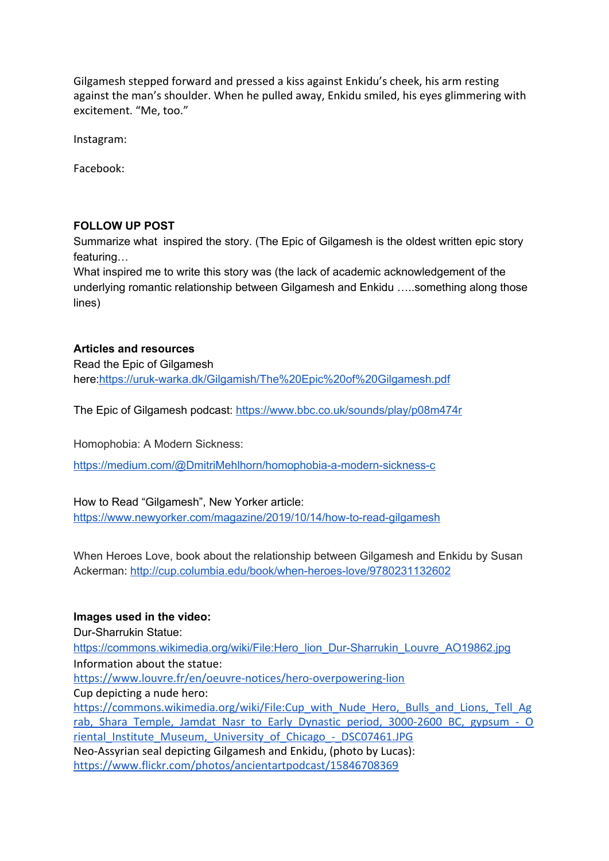Gilgamesh stepped forward and pressed a kiss against Enkidu's cheek, his arm resting against the man's shoulder. When he pulled away, Enkidu smiled, his eyes glimmering with excitement. "Me, too."

Instagram:

Facebook:

## **FOLLOW UP POST**

Summarize what inspired the story. (The Epic of Gilgamesh is the oldest written epic story featuring…

What inspired me to write this story was (the lack of academic acknowledgement of the underlying romantic relationship between Gilgamesh and Enkidu …..something along those lines)

**Articles and resources** Read the Epic of Gilgamesh here[:https://uruk-warka.dk/Gilgamish/The%20Epic%20of%20Gilgamesh.pdf](https://uruk-warka.dk/Gilgamish/The%20Epic%20of%20Gilgamesh.pdf)

The Epic of Gilgamesh podcast: <https://www.bbc.co.uk/sounds/play/p08m474r>

Homophobia: A Modern Sickness:

[https://medium.com/@DmitriMehlhorn/homophobia-a-modern-sickness-c](https://medium.com/@DmitriMehlhorn/homophobia-a-modern-sickness-c41763f94bca)

How to Read "Gilgamesh", New Yorker article: <https://www.newyorker.com/magazine/2019/10/14/how-to-read-gilgamesh>

When Heroes Love, book about the relationship between Gilgamesh and Enkidu by Susan Ackerman: <http://cup.columbia.edu/book/when-heroes-love/9780231132602>

## **Images used in the video:**

Dur-Sharrukin Statue: [https://commons.wikimedia.org/wiki/File:Hero\\_lion\\_Dur-Sharrukin\\_Louvre\\_AO19862.jpg](https://commons.wikimedia.org/wiki/File:Hero_lion_Dur-Sharrukin_Louvre_AO19862.jpg) Information about the statue: <https://www.louvre.fr/en/oeuvre-notices/hero-overpowering-lion> Cup depicting a nude hero: [https://commons.wikimedia.org/wiki/File:Cup\\_with\\_Nude\\_Hero,\\_Bulls\\_and\\_Lions,\\_Tell\\_Ag](https://commons.wikimedia.org/wiki/File:Cup_with_Nude_Hero,_Bulls_and_Lions,_Tell_Agrab,_Shara_Temple,_Jamdat_Nasr_to_Early_Dynastic_period,_3000-2600_BC,_gypsum_-_Oriental_Institute_Museum,_University_of_Chicago_-_DSC07461.JPG) rab, Shara Temple, Jamdat Nasr to Early Dynastic period, 3000-2600 BC, gypsum - O riental Institute Museum, University of Chicago - DSC07461.JPG Neo-Assyrian seal depicting Gilgamesh and Enkidu, (photo by Lucas): <https://www.flickr.com/photos/ancientartpodcast/15846708369>